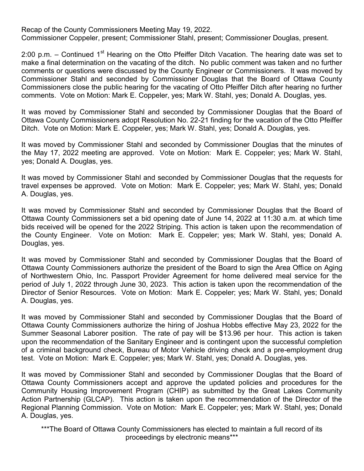Recap of the County Commissioners Meeting May 19, 2022.

Commissioner Coppeler, present; Commissioner Stahl, present; Commissioner Douglas, present.

2:00 p.m. – Continued  $1<sup>st</sup>$  Hearing on the Otto Pfeiffer Ditch Vacation. The hearing date was set to make a final determination on the vacating of the ditch. No public comment was taken and no further comments or questions were discussed by the County Engineer or Commissioners. It was moved by Commissioner Stahl and seconded by Commissioner Douglas that the Board of Ottawa County Commissioners close the public hearing for the vacating of Otto Pfeiffer Ditch after hearing no further comments. Vote on Motion: Mark E. Coppeler, yes; Mark W. Stahl, yes; Donald A. Douglas, yes.

It was moved by Commissioner Stahl and seconded by Commissioner Douglas that the Board of Ottawa County Commissioners adopt Resolution No. 22-21 finding for the vacation of the Otto Pfeiffer Ditch. Vote on Motion: Mark E. Coppeler, yes; Mark W. Stahl, yes; Donald A. Douglas, yes.

It was moved by Commissioner Stahl and seconded by Commissioner Douglas that the minutes of the May 17, 2022 meeting are approved. Vote on Motion: Mark E. Coppeler; yes; Mark W. Stahl, yes; Donald A. Douglas, yes.

It was moved by Commissioner Stahl and seconded by Commissioner Douglas that the requests for travel expenses be approved. Vote on Motion: Mark E. Coppeler; yes; Mark W. Stahl, yes; Donald A. Douglas, yes.

It was moved by Commissioner Stahl and seconded by Commissioner Douglas that the Board of Ottawa County Commissioners set a bid opening date of June 14, 2022 at 11:30 a.m. at which time bids received will be opened for the 2022 Striping. This action is taken upon the recommendation of the County Engineer. Vote on Motion: Mark E. Coppeler; yes; Mark W. Stahl, yes; Donald A. Douglas, yes.

It was moved by Commissioner Stahl and seconded by Commissioner Douglas that the Board of Ottawa County Commissioners authorize the president of the Board to sign the Area Office on Aging of Northwestern Ohio, Inc. Passport Provider Agreement for home delivered meal service for the period of July 1, 2022 through June 30, 2023. This action is taken upon the recommendation of the Director of Senior Resources. Vote on Motion: Mark E. Coppeler; yes; Mark W. Stahl, yes; Donald A. Douglas, yes.

It was moved by Commissioner Stahl and seconded by Commissioner Douglas that the Board of Ottawa County Commissioners authorize the hiring of Joshua Hobbs effective May 23, 2022 for the Summer Seasonal Laborer position. The rate of pay will be \$13.96 per hour. This action is taken upon the recommendation of the Sanitary Engineer and is contingent upon the successful completion of a criminal background check, Bureau of Motor Vehicle driving check and a pre-employment drug test. Vote on Motion: Mark E. Coppeler; yes; Mark W. Stahl, yes; Donald A. Douglas, yes.

It was moved by Commissioner Stahl and seconded by Commissioner Douglas that the Board of Ottawa County Commissioners accept and approve the updated policies and procedures for the Community Housing Improvement Program (CHIP) as submitted by the Great Lakes Community Action Partnership (GLCAP). This action is taken upon the recommendation of the Director of the Regional Planning Commission. Vote on Motion: Mark E. Coppeler; yes; Mark W. Stahl, yes; Donald A. Douglas, yes.

\*\*\*The Board of Ottawa County Commissioners has elected to maintain a full record of its proceedings by electronic means\*\*\*